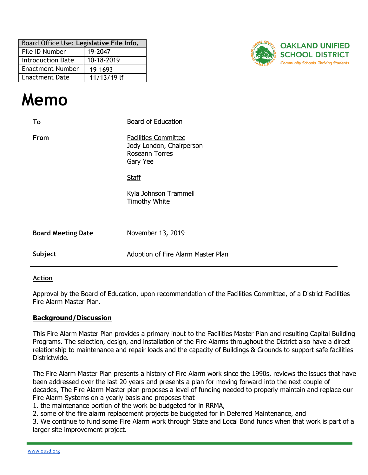| Board Office Use: Legislative File Info. |             |  |  |
|------------------------------------------|-------------|--|--|
| 19-2047<br>File ID Number                |             |  |  |
| 10-18-2019<br><b>Introduction Date</b>   |             |  |  |
| <b>Enactment Number</b><br>19-1693       |             |  |  |
| <b>Enactment Date</b>                    | 11/13/19 lf |  |  |



# **Memo**

| To                        | <b>Board of Education</b>                                                                    |
|---------------------------|----------------------------------------------------------------------------------------------|
| From                      | <b>Facilities Committee</b><br>Jody London, Chairperson<br><b>Roseann Torres</b><br>Gary Yee |
|                           | <b>Staff</b>                                                                                 |
|                           | Kyla Johnson Trammell<br><b>Timothy White</b>                                                |
| <b>Board Meeting Date</b> | November 13, 2019                                                                            |
| Subject                   | Adoption of Fire Alarm Master Plan                                                           |

#### **Action**

Approval by the Board of Education, upon recommendation of the Facilities Committee, of a District Facilities Fire Alarm Master Plan.

#### **Background/Discussion**

This Fire Alarm Master Plan provides a primary input to the Facilities Master Plan and resulting Capital Building Programs. The selection, design, and installation of the Fire Alarms throughout the District also have a direct relationship to maintenance and repair loads and the capacity of Buildings & Grounds to support safe facilities Districtwide.

The Fire Alarm Master Plan presents a history of Fire Alarm work since the 1990s, reviews the issues that have been addressed over the last 20 years and presents a plan for moving forward into the next couple of decades, The Fire Alarm Master plan proposes a level of funding needed to properly maintain and replace our Fire Alarm Systems on a yearly basis and proposes that

1. the maintenance portion of the work be budgeted for in RRMA,

2. some of the fire alarm replacement projects be budgeted for in Deferred Maintenance, and

3. We continue to fund some Fire Alarm work through State and Local Bond funds when that work is part of a larger site improvement project.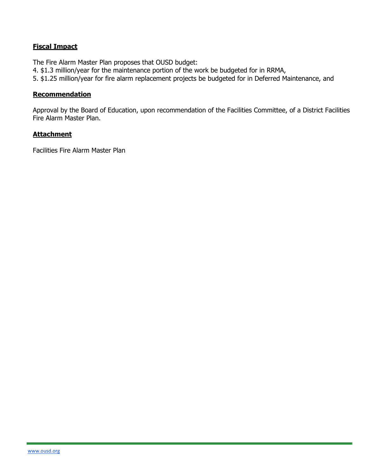# **Fiscal Impact**

The Fire Alarm Master Plan proposes that OUSD budget:

- 4. \$1.3 million/year for the maintenance portion of the work be budgeted for in RRMA,
- 5. \$1.25 million/year for fire alarm replacement projects be budgeted for in Deferred Maintenance, and

#### **Recommendation**

Approval by the Board of Education, upon recommendation of the Facilities Committee, of a District Facilities Fire Alarm Master Plan.

#### **Attachment**

Facilities Fire Alarm Master Plan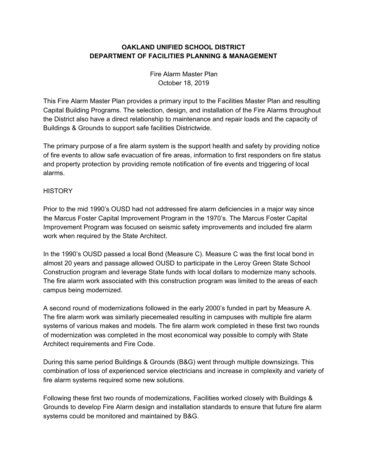# **OAKLAND UNIFIED SCHOOL DISTRICT DEPARTMENT OF FACILITIES PLANNING & MANAGEMENT**

Fire Alarm Master Plan October 18, 2019

This Fire Alarm Master Plan provides a primary input to the Facilities Master Plan and resulting Capital Building Programs. The selection, design, and installation of the Fire Alarms throughout the District also have a direct relationship to maintenance and repair loads and the capacity of Buildings & Grounds to support safe facilities Districtwide.

The primary purpose of a fire alarm system is the support health and safety by providing notice of fire events to allow safe evacuation of fire areas, information to first responders on fire status and property protection by providing remote notification of fire events and triggering of local alarms.

### **HISTORY**

Prior to the mid 1990's OUSD had not addressed fire alarm deficiencies in a major way since the Marcus Foster Capital Improvement Program in the 1970's. The Marcus Foster Capital Improvement Program was focused on seismic safety improvements and included fire alarm work when required by the State Architect.

In the 1990's OUSD passed a local Bond (Measure C). Measure C was the first local bond in almost 20 years and passage allowed OUSD to participate in the Leroy Green State School Construction program and leverage State funds with local dollars to modernize many schools. The fire alarm work associated with this construction program was limited to the areas of each campus being modernized.

A second round of modernizations followed in the early 2000's funded in part by Measure A. The fire alarm work was similarly piecemealed resulting in campuses with multiple fire alarm systems of various makes and models. The fire alarm work completed in these first two rounds of modernization was completed in the most economical way possible to comply with State Architect requirements and Fire Code.

During this same period Buildings & Grounds (B&G) went through multiple downsizings. This combination of loss of experienced service electricians and increase in complexity and variety of fire alarm systems required some new solutions.

Following these first two rounds of modernizations, Facilities worked closely with Buildings & Grounds to develop Fire Alarm design and installation standards to ensure that future fire alarm systems could be monitored and maintained by B&G.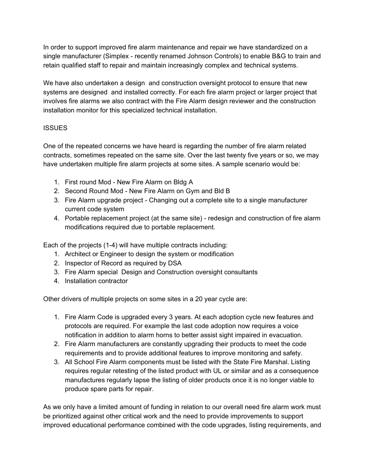In order to support improved fire alarm maintenance and repair we have standardized on a single manufacturer (Simplex - recently renamed Johnson Controls) to enable B&G to train and retain qualified staff to repair and maintain increasingly complex and technical systems.

We have also undertaken a design and construction oversight protocol to ensure that new systems are designed and installed correctly. For each fire alarm project or larger project that involves fire alarms we also contract with the Fire Alarm design reviewer and the construction installation monitor for this specialized technical installation.

# **ISSUES**

One of the repeated concerns we have heard is regarding the number of fire alarm related contracts, sometimes repeated on the same site. Over the last twenty five years or so, we may have undertaken multiple fire alarm projects at some sites. A sample scenario would be:

- 1. First round Mod New Fire Alarm on Bldg A
- 2. Second Round Mod New Fire Alarm on Gym and Bld B
- 3. Fire Alarm upgrade project Changing out a complete site to a single manufacturer current code system
- 4. Portable replacement project (at the same site) redesign and construction of fire alarm modifications required due to portable replacement.

Each of the projects (1-4) will have multiple contracts including:

- 1. Architect or Engineer to design the system or modification
- 2. Inspector of Record as required by DSA
- 3. Fire Alarm special Design and Construction oversight consultants
- 4. Installation contractor

Other drivers of multiple projects on some sites in a 20 year cycle are:

- 1. Fire Alarm Code is upgraded every 3 years. At each adoption cycle new features and protocols are required. For example the last code adoption now requires a voice notification in addition to alarm horns to better assist sight impaired in evacuation.
- 2. Fire Alarm manufacturers are constantly upgrading their products to meet the code requirements and to provide additional features to improve monitoring and safety.
- 3. All School Fire Alarm components must be listed with the State Fire Marshal. Listing requires regular retesting of the listed product with UL or similar and as a consequence manufactures regularly lapse the listing of older products once it is no longer viable to produce spare parts for repair.

As we only have a limited amount of funding in relation to our overall need fire alarm work must be prioritized against other critical work and the need to provide improvements to support improved educational performance combined with the code upgrades, listing requirements, and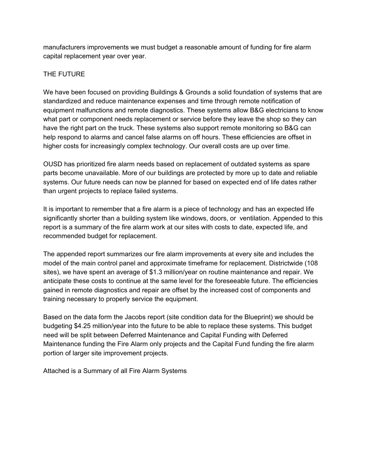manufacturers improvements we must budget a reasonable amount of funding for fire alarm capital replacement year over year.

# THE FUTURE

We have been focused on providing Buildings & Grounds a solid foundation of systems that are standardized and reduce maintenance expenses and time through remote notification of equipment malfunctions and remote diagnostics. These systems allow B&G electricians to know what part or component needs replacement or service before they leave the shop so they can have the right part on the truck. These systems also support remote monitoring so B&G can help respond to alarms and cancel false alarms on off hours. These efficiencies are offset in higher costs for increasingly complex technology. Our overall costs are up over time.

OUSD has prioritized fire alarm needs based on replacement of outdated systems as spare parts become unavailable. More of our buildings are protected by more up to date and reliable systems. Our future needs can now be planned for based on expected end of life dates rather than urgent projects to replace failed systems.

It is important to remember that a fire alarm is a piece of technology and has an expected life significantly shorter than a building system like windows, doors, or ventilation. Appended to this report is a summary of the fire alarm work at our sites with costs to date, expected life, and recommended budget for replacement.

The appended report summarizes our fire alarm improvements at every site and includes the model of the main control panel and approximate timeframe for replacement. Districtwide (108 sites), we have spent an average of \$1.3 million/year on routine maintenance and repair. We anticipate these costs to continue at the same level for the foreseeable future. The efficiencies gained in remote diagnostics and repair are offset by the increased cost of components and training necessary to properly service the equipment.

Based on the data form the Jacobs report (site condition data for the Blueprint) we should be budgeting \$4.25 million/year into the future to be able to replace these systems. This budget need will be split between Deferred Maintenance and Capital Funding with Deferred Maintenance funding the Fire Alarm only projects and the Capital Fund funding the fire alarm portion of larger site improvement projects.

Attached is a Summary of all Fire Alarm Systems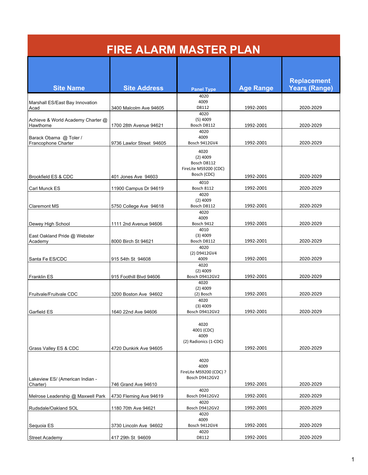| <b>FIRE ALARM MASTER PLAN</b>                  |                          |                                                                                   |                  |                                            |
|------------------------------------------------|--------------------------|-----------------------------------------------------------------------------------|------------------|--------------------------------------------|
| <b>Site Name</b>                               | <b>Site Address</b>      | <b>Panel Type</b>                                                                 | <b>Age Range</b> | <b>Replacement</b><br><b>Years (Range)</b> |
| Marshall ES/East Bay Innovation<br>Acad        | 3400 Malcolm Ave 94605   | 4020<br>4009<br>D8112                                                             | 1992-2001        | 2020-2029                                  |
| Achieve & World Academy Charter @<br>Hawthorne | 1700 28th Avenue 94621   | 4020<br>$(5)$ 4009<br>Bosch D8112                                                 | 1992-2001        | 2020-2029                                  |
| Barack Obama @ Toler /<br>Francophone Charter  | 9736 Lawlor Street 94605 | 4020<br>4009<br>Bosch 9412GV4                                                     | 1992-2001        | 2020-2029                                  |
| Brookfield ES & CDC                            | 401 Jones Ave 94603      | 4020<br>$(2)$ 4009<br>Bosch D8112<br>FireLite MS9200 (CDC)<br>Bosch (CDC)<br>4010 | 1992-2001        | 2020-2029                                  |
| Carl Munck ES                                  | 11900 Campus Dr 94619    | <b>Bosch 8112</b><br>4020                                                         | 1992-2001        | 2020-2029                                  |
| <b>Claremont MS</b>                            | 5750 College Ave 94618   | $(2)$ 4009<br>Bosch D8112<br>4020                                                 | 1992-2001        | 2020-2029                                  |
| Dewey High School                              | 1111 2nd Avenue 94606    | 4009<br><b>Bosch 9412</b><br>4010                                                 | 1992-2001        | 2020-2029                                  |
| East Oakland Pride @ Webster<br>Academy        | 8000 Birch St 94621      | $(3)$ 4009<br>Bosch D8112                                                         | 1992-2001        | 2020-2029                                  |
| Santa Fe ES/CDC                                | 915 54th St 94608        | 4020<br>(2) D9412GV4<br>4009                                                      | 1992-2001        | 2020-2029                                  |
| <b>Franklin ES</b>                             | 915 Foothill Blvd 94606  | 4020<br>$(2)$ 4009<br>Bosch D9412GV2                                              | 1992-2001        | 2020-2029                                  |
|                                                |                          | 4020                                                                              |                  |                                            |
| Fruitvale/Fruitvale CDC                        | 3200 Boston Ave 94602    | $(2)$ 4009<br>(2) Bosch<br>4020                                                   | 1992-2001        | 2020-2029                                  |
| Garfield ES                                    | 1640 22nd Ave 94606      | $(3)$ 4009<br>Bosch D9412GV2                                                      | 1992-2001        | 2020-2029                                  |
| Grass Valley ES & CDC                          | 4720 Dunkirk Ave 94605   | 4020<br>4001 (CDC)<br>4009<br>(2) Radionics (1-CDC)                               | 1992-2001        | 2020-2029                                  |
|                                                |                          | 4020<br>4009<br>FireLite MS9200 (CDC) ?                                           |                  |                                            |
| Lakeview ES/ (American Indian -<br>Charter)    | 746 Grand Ave 94610      | Bosch D9412GV2                                                                    | 1992-2001        | 2020-2029                                  |
| Melrose Leadership @ Maxwell Park              | 4730 Fleming Ave 94619   | 4020<br>Bosch D9412GV2                                                            | 1992-2001        | 2020-2029                                  |
| Rudsdale/Oakland SOL                           | 1180 70th Ave 94621      | 4020<br>Bosch D9412GV2                                                            | 1992-2001        | 2020-2029                                  |
| Sequoia ES                                     | 3730 Lincoln Ave 94602   | 4020<br>4009<br>Bosch 9412GV4                                                     | 1992-2001        | 2020-2029                                  |
| <b>Street Academy</b>                          | 417 29th St 94609        | 4020<br>D8112                                                                     | 1992-2001        | 2020-2029                                  |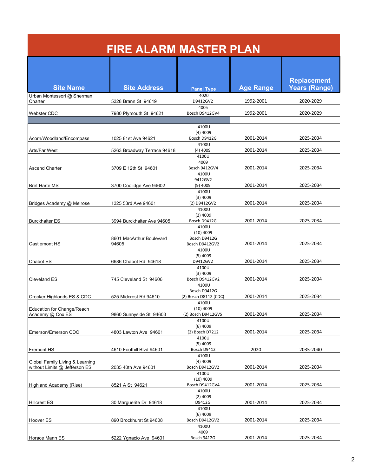| <b>FIRE ALARM MASTER PLAN</b>                                    |                                   |                                               |                  |                                     |
|------------------------------------------------------------------|-----------------------------------|-----------------------------------------------|------------------|-------------------------------------|
| <b>Site Name</b>                                                 | <b>Site Address</b>               | <b>Panel Type</b>                             | <b>Age Range</b> | <b>Replacement</b><br>Years (Range) |
| Urban Montessori @ Sherman<br>Charter                            | 5328 Brann St 94619               | 4020<br>D9412GV2                              | 1992-2001        | 2020-2029                           |
| Webster CDC                                                      | 7980 Plymouth St 94621            | 4005<br>Bosch D9412GV4                        | 1992-2001        | 2020-2029                           |
|                                                                  |                                   |                                               |                  |                                     |
| Acorn/Woodland/Encompass                                         | 1025 81st Ave 94621               | 4100U<br>$(4)$ 4009<br>Bosch D9412G           | 2001-2014        | 2025-2034                           |
| Arts/Far West                                                    | 5263 Broadway Terrace 94618       | 4100U<br>$(4)$ 4009                           | 2001-2014        | 2025-2034                           |
| <b>Ascend Charter</b>                                            | 3709 E 12th St 94601              | 4100U<br>4009<br>Bosch 9412GV4                | 2001-2014        | 2025-2034                           |
| <b>Bret Harte MS</b>                                             | 3700 Coolidge Ave 94602           | 4100U<br>9412GV2<br>$(9)$ 4009                | 2001-2014        | 2025-2034                           |
| Bridges Academy @ Melrose                                        | 1325 53rd Ave 94601               | 4100U<br>$(3)$ 4009<br>(2) D9412GV2<br>4100U  | 2001-2014        | 2025-2034                           |
| <b>Burckhalter ES</b>                                            | 3994 Burckhalter Ave 94605        | $(2)$ 4009<br>Bosch D9412G<br>4100U           | 2001-2014        | 2025-2034                           |
| <b>Castlemont HS</b>                                             | 8601 MacArthur Boulevard<br>94605 | $(10)$ 4009<br>Bosch D9412G<br>Bosch D9412GV2 | 2001-2014        | 2025-2034                           |
|                                                                  |                                   | 4100U<br>$(5)$ 4009<br>D9412GV2               | 2001-2014        | 2025-2034                           |
| Chabot ES                                                        | 6686 Chabot Rd 94618              | 4100U<br>$(3)$ 4009                           |                  |                                     |
| <b>Cleveland ES</b>                                              | 745 Cleveland St 94606            | Bosch D9412GV2<br>4100U<br>Bosch D9412G       | 2001-2014        | 2025-2034                           |
| Crocker Highlands ES & CDC                                       | 525 Midcrest Rd 94610             | (2) Bosch D8112 (CDC)<br>4100U                | 2001-2014        | 2025-2034                           |
| Education for Change/Reach<br>Academy @ Cox ES                   | 9860 Sunnyside St 94603           | $(10)$ 4009<br>(2) Bosch D9412GVS             | 2001-2014        | 2025-2034                           |
| Emerson/Emerson CDC                                              | 4803 Lawton Ave 94601             | 4100U<br>$(6)$ 4009<br>(2) Bosch D7212        | 2001-2014        | 2025-2034                           |
| <b>Fremont HS</b>                                                | 4610 Foothill Blvd 94601          | 4100U<br>$(5)$ 4009<br>Bosch D9412            | 2020             | 2035-2040                           |
| Global Family Living & Learning<br>without Limits @ Jefferson ES | 2035 40th Ave 94601               | 4100U<br>$(4)$ 4009<br>Bosch D9412GV2         | 2001-2014        | 2025-2034                           |
| Highland Academy (Rise)                                          | 8521 A St 94621                   | 4100U<br>$(10)$ 4009<br>Bosch D9412GV4        | 2001-2014        | 2025-2034                           |
| <b>Hillcrest ES</b>                                              | 30 Marguerite Dr 94618            | 4100U<br>$(2)$ 4009<br>D9412G                 | 2001-2014        | 2025-2034                           |
| Hoover ES                                                        | 890 Brockhurst St 94608           | 4100U<br>$(6)$ 4009<br>Bosch D9412GV2         | 2001-2014        | 2025-2034                           |
| Horace Mann ES                                                   | 5222 Ygnacio Ave 94601            | 4100U<br>4009<br>Bosch 9412G                  | 2001-2014        | 2025-2034                           |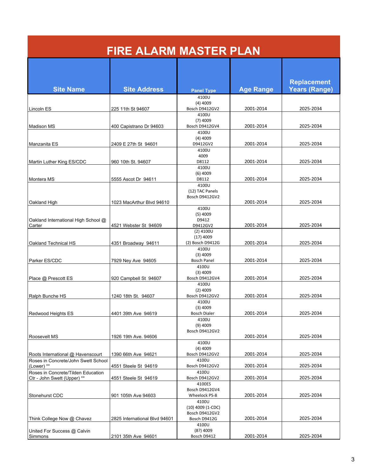| <b>FIRE ALARM MASTER PLAN</b>                     |                               |                                 |                  |                      |
|---------------------------------------------------|-------------------------------|---------------------------------|------------------|----------------------|
|                                                   |                               |                                 |                  | <b>Replacement</b>   |
| <b>Site Name</b>                                  | <b>Site Address</b>           | <b>Panel Type</b>               | <b>Age Range</b> | <b>Years (Range)</b> |
|                                                   |                               | 4100U                           |                  |                      |
| Lincoln ES                                        | 225 11th St 94607             | $(4)$ 4009<br>Bosch D9412GV2    | 2001-2014        | 2025-2034            |
|                                                   |                               | 4100U                           |                  |                      |
|                                                   |                               | $(7)$ 4009                      |                  |                      |
| <b>Madison MS</b>                                 | 400 Capistrano Dr 94603       | Bosch D9412GV4                  | 2001-2014        | 2025-2034            |
|                                                   |                               | 4100U                           |                  |                      |
| Manzanita ES                                      | 2409 E 27th St 94601          | $(4)$ 4009<br>D9412GV2          | 2001-2014        | 2025-2034            |
|                                                   |                               | 4100U                           |                  |                      |
|                                                   |                               | 4009                            |                  |                      |
| Martin Luther King ES/CDC                         | 960 10th St. 94607            | D8112                           | 2001-2014        | 2025-2034            |
|                                                   |                               | 4100U<br>$(6)$ 4009             |                  |                      |
| Montera MS                                        | 5555 Ascot Dr 94611           | D8112                           | 2001-2014        | 2025-2034            |
|                                                   |                               | 4100U                           |                  |                      |
|                                                   |                               | (12) TAC Panels                 |                  |                      |
|                                                   |                               | Bosch D9412GV2                  | 2001-2014        | 2025-2034            |
| Oakland High                                      | 1023 MacArthur Blvd 94610     | 4100U                           |                  |                      |
|                                                   |                               | $(5)$ 4009                      |                  |                      |
| Oakland International High School @               |                               | D9412                           |                  |                      |
| Carter                                            | 4521 Webster St 94609         | D9412GV2                        | 2001-2014        | 2025-2034            |
|                                                   |                               | $(2)$ 41000<br>$(17)$ 4009      |                  |                      |
| Oakland Technical HS                              | 4351 Broadway 94611           | (2) Bosch D9412G                | 2001-2014        | 2025-2034            |
|                                                   |                               | 4100U                           |                  |                      |
|                                                   |                               | $(3)$ 4009                      |                  |                      |
| Parker ES/CDC                                     | 7929 Ney Ave 94605            | <b>Bosch Panel</b>              | 2001-2014        | 2025-2034            |
|                                                   |                               | 4100U<br>$(3)$ 4009             |                  |                      |
| Place @ Prescott ES                               | 920 Campbell St 94607         | Bosch D9412GV4                  | 2001-2014        | 2025-2034            |
|                                                   |                               | 4100U                           |                  |                      |
|                                                   |                               | $(2)$ 4009                      |                  |                      |
| Ralph Bunche HS                                   | 1240 18th St. 94607           | Bosch D9412GV2<br>4100U         | 2001-2014        | 2025-2034            |
|                                                   |                               | $(3)$ 4009                      |                  |                      |
| Redwood Heights ES                                | 4401 39th Ave 94619           | <b>Bosch Dialer</b>             | 2001-2014        | 2025-2034            |
|                                                   |                               | 4100U                           |                  |                      |
|                                                   |                               | $(9)$ 4009<br>Bosch D9412GV2    |                  |                      |
| Roosevelt MS                                      | 1926 19th Ave. 94606          |                                 | 2001-2014        | 2025-2034            |
|                                                   |                               | 4100U                           |                  |                      |
|                                                   |                               | $(4)$ 4009                      |                  |                      |
| Roots International @ Havenscourt                 | 1390 66th Ave 94621           | Bosch D9412GV2<br>4100U         | 2001-2014        | 2025-2034            |
| Roses in Concrete/John Swett School<br>(Lower) ** | 4551 Steele St 94619          | Bosch D9412GV2                  | 2001-2014        | 2025-2034            |
| Roses in Concrete/Tilden Education                |                               | 4100U                           |                  |                      |
| Ctr - John Swett (Upper) **                       | 4551 Steele St 94619          | Bosch D9412GV2                  | 2001-2014        | 2025-2034            |
|                                                   |                               | 4100ES                          |                  |                      |
| Stonehurst CDC                                    | 901 105th Ave 94603           | Bosch D9412GV4<br>Wheelock PS-8 | 2001-2014        | 2025-2034            |
|                                                   |                               | 4100U                           |                  |                      |
|                                                   |                               | $(10)$ 4009 $(1$ -CDC $)$       |                  |                      |
|                                                   |                               | Bosch D9412GV2                  |                  |                      |
| Think College Now @ Chavez                        | 2825 International Blvd 94601 | Bosch D9412G<br>4100U           | 2001-2014        | 2025-2034            |
| United For Success @ Calvin                       |                               | (8?) 4009                       |                  |                      |
| Simmons                                           | 2101 35th Ave 94601           | Bosch D9412                     | 2001-2014        | 2025-2034            |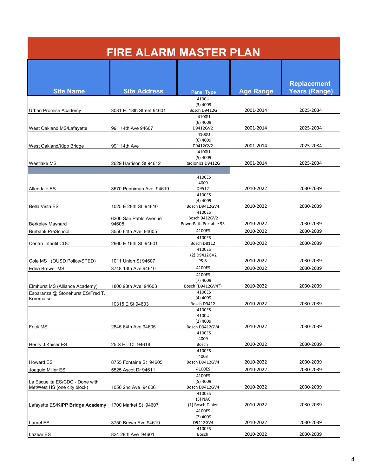|                                                                | <b>FIRE ALARM MASTER PLAN</b>  |                                                  |                  |                      |
|----------------------------------------------------------------|--------------------------------|--------------------------------------------------|------------------|----------------------|
|                                                                |                                |                                                  |                  | <b>Replacement</b>   |
| <b>Site Name</b>                                               | <b>Site Address</b>            | <b>Panel Type</b>                                | <b>Age Range</b> | <b>Years (Range)</b> |
| Urban Promise Academy                                          | 3031 E. 18th Street 94601      | 4100U<br>$(3)$ 4009<br>Bosch D9412G              | 2001-2014        | 2025-2034            |
| West Oakland MS/Lafayette                                      | 991 14th Ave 94607             | 4100U<br>$(6)$ 4009<br>D9412GV2                  | 2001-2014        | 2025-2034            |
| West Oakland/Kipp Bridge                                       | 991 14th Ave                   | 4100U<br>$(6)$ 4009<br>D9412GV2<br>4100U         | 2001-2014        | 2025-2034            |
| Westlake MS                                                    | 2629 Harrison St 94612         | $(5)$ 4009<br>Radionics D9412G                   | 2001-2014        | 2025-2034            |
| Allendale ES                                                   | 3670 Penniman Ave 94619        | 4100ES<br>4009<br>D9512                          | 2010-2022        | 2030-2039            |
| <b>Bella Vista ES</b>                                          | 1025 E 28th St 94610           | 4100ES<br>$(4)$ 4009<br>Bosch D9412GV4           | 2010-2022        | 2030-2039            |
| <b>Berkeley Maynard</b>                                        | 6200 San Pablo Avenue<br>94608 | 4100ES<br>Bosch 9412GV2<br>PowerPath Portable 93 | 2010-2022        | 2030-2039            |
| <b>Burbank PreSchool</b>                                       | 3550 64th Ave 94605            | 4100ES                                           | 2010-2022        | 2030-2039            |
| Centro Infantil CDC                                            | 2660 E 16th St 94601           | 4100ES<br>Bosch D8112                            | 2010-2022        | 2030-2039            |
|                                                                |                                | 4100ES<br>(2) D9412GV2                           |                  |                      |
| Cole MS (OUSD Police/SPED)                                     | 1011 Union St 94607            | PS-8                                             | 2010-2022        | 2030-2039            |
| Edna Brewer MS                                                 | 3748 13th Ave 94610            | 4100ES<br>4100ES                                 | 2010-2022        | 2030-2039            |
| Elmhurst MS (Alliance Academy)                                 | 1800 98th Ave 94603            | $(7)$ 4009<br>Bosch (D9412GV4?)                  | 2010-2022        | 2030-2039            |
| Esparanza @ Stonehurst ES/Fred T.<br>Korematsu                 | 10315 E St 94603               | 4100ES<br>$(4)$ 4009<br>Bosch D9412              | 2010-2022        | 2030-2039            |
|                                                                |                                | 4100ES<br>4100U<br>$(2)$ 4009                    |                  |                      |
| <b>Frick MS</b>                                                | 2845 64th Ave 94605            | Bosch D9412GV4<br>4100ES                         | 2010-2022        | 2030-2039            |
| Henry J Kaiser ES                                              | 25 S Hill Ct 94618             | 4009<br>Bosch                                    | 2010-2022        | 2030-2039            |
|                                                                |                                | 4100ES<br>4003                                   |                  |                      |
| Howard ES                                                      | 8755 Fontaine St 94605         | Bosch D9412GV4                                   | 2010-2022        | 2030-2039            |
| Joaquin Miller ES                                              | 5525 Ascot Dr 94611            | 4100ES                                           | 2010-2022        | 2030-2039            |
| La Escuelita ES/CDC - Done with<br>MetWest HS (one city block) | 1050 2nd Ave 94606             | 4100ES<br>$(5)$ 4009<br>Bosch D9412GV4           | 2010-2022        | 2030-2039            |
| Lafayette ES/KIPP Bridge Academy                               | 1700 Market St 94607           | 4100ES<br>$(3)$ NAC<br>(1) Bosch Dialer          | 2010-2022        | 2030-2039            |
| Laurel ES                                                      | 3750 Brown Ave 94619           | 4100ES<br>$(2)$ 4009<br>D9412GV4                 | 2010-2022        | 2030-2039            |
| Lazear ES                                                      | 824 29th Ave 94601             | 4100ES<br>Bosch                                  | 2010-2022        | 2030-2039            |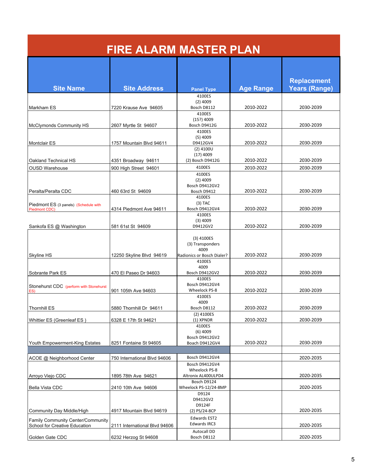| <b>FIRE ALARM MASTER PLAN</b>                                      |                               |                                                                        |                  |                                            |
|--------------------------------------------------------------------|-------------------------------|------------------------------------------------------------------------|------------------|--------------------------------------------|
| <b>Site Name</b>                                                   | <b>Site Address</b>           | <b>Panel Type</b>                                                      | <b>Age Range</b> | <b>Replacement</b><br><b>Years (Range)</b> |
|                                                                    |                               | 4100ES                                                                 |                  |                                            |
| Markham ES                                                         | 7220 Krause Ave 94605         | $(2)$ 4009<br>Bosch D8112                                              | 2010-2022        | 2030-2039                                  |
|                                                                    |                               | 4100ES                                                                 |                  |                                            |
|                                                                    |                               | (15?) 4009                                                             |                  |                                            |
| <b>McClymonds Community HS</b>                                     | 2607 Myrtle St 94607          | Bosch D9412G<br>4100ES                                                 | 2010-2022        | 2030-2039                                  |
|                                                                    |                               | $(5)$ 4009                                                             |                  |                                            |
| <b>Montclair ES</b>                                                | 1757 Mountain Blvd 94611      | D9412GV4                                                               | 2010-2022        | 2030-2039                                  |
|                                                                    |                               | $(2)$ 4100U<br>$(17)$ 4009                                             |                  |                                            |
| Oakland Technical HS                                               | 4351 Broadway 94611           | (2) Bosch D9412G                                                       | 2010-2022        | 2030-2039                                  |
| <b>OUSD Warehouse</b>                                              | 900 High Street 94601         | 4100ES                                                                 | 2010-2022        | 2030-2039                                  |
|                                                                    |                               | 4100ES<br>$(2)$ 4009                                                   |                  |                                            |
|                                                                    |                               | Bosch D9412GV2                                                         |                  |                                            |
| Peralta/Peralta CDC                                                | 460 63rd St 94609             | Bosch D9412                                                            | 2010-2022        | 2030-2039                                  |
|                                                                    |                               | 4100ES                                                                 |                  |                                            |
| Piedmont ES (3 panels) (Schedule with<br>Piedmont CDC)             | 4314 Piedmont Ave 94611       | $(3)$ TAC<br>Bosch D9412GV4                                            | 2010-2022        | 2030-2039                                  |
|                                                                    |                               | 4100ES                                                                 |                  |                                            |
|                                                                    |                               | $(3)$ 4009<br>D9412GV2                                                 | 2010-2022        | 2030-2039                                  |
| Sankofa ES @ Washington                                            | 581 61st St 94609             |                                                                        |                  |                                            |
| Skyline HS                                                         | 12250 Skyline Blvd 94619      | $(3)$ 4100ES<br>(3) Transponders<br>4009<br>Radionics or Bosch Dialer? | 2010-2022        | 2030-2039                                  |
|                                                                    |                               | 4100ES                                                                 |                  |                                            |
| Sobrante Park ES                                                   | 470 El Paseo Dr 94603         | 4009<br>Bosch D9412GV2                                                 | 2010-2022        | 2030-2039                                  |
| Stonehurst CDC (perform with Stonehurst<br>ES)                     | 901 105th Ave 94603           | 4100ES<br>Bosch D9412GV4<br>Wheelock PS-8                              | 2010-2022        | 2030-2039                                  |
| <b>Thornhill ES</b>                                                | 5880 Thornhill Dr 94611       | 4100ES<br>4009<br>Bosch D8112                                          | 2010-2022        | 2030-2039                                  |
|                                                                    |                               | $(2)$ 4100ES                                                           |                  |                                            |
| Whittier ES (Greenleaf ES)                                         | 6328 E 17th St 94621          | $(1)$ XPNDR                                                            | 2010-2022        | 2030-2039                                  |
|                                                                    |                               | 4100ES<br>$(6)$ 4009<br>Bosch D9412GV2                                 |                  |                                            |
| Youth Empowerment-King Estates                                     | 8251 Fontaine St 94605        | Boach D9412GV4                                                         | 2010-2022        | 2030-2039                                  |
|                                                                    |                               |                                                                        |                  |                                            |
| ACOE @ Neighborhood Center                                         | 750 International Blvd 94606  | Bosch D9412GV4                                                         |                  | 2020-2035                                  |
| Arroyo Viejo CDC                                                   | 1895 78th Ave 94621           | Bosch D9412GV4<br>Wheelock PS-8<br>Altronix AL400ULPD4                 |                  | 2020-2035                                  |
|                                                                    |                               | Bosch D9124                                                            |                  |                                            |
| Bella Vista CDC                                                    | 2410 10th Ave 94606           | Wheelock PS-12/24-8MP                                                  |                  | 2020-2035                                  |
|                                                                    |                               | D9124<br>D9412GV2<br>D9124F                                            |                  |                                            |
| Community Day Middle/High                                          | 4917 Mountain Blvd 94619      | (2) PS/24-8CP                                                          |                  | 2020-2035                                  |
| Family Community Center/Community<br>School for Creative Education | 2111 International Blvd 94606 | <b>Edwards EST2</b><br>Edwards IRC3                                    |                  | 2020-2035                                  |
| Golden Gate CDC                                                    | 6232 Herzog St 94608          | <b>Autocall DD</b><br>Bosch D8112                                      |                  | 2020-2035                                  |